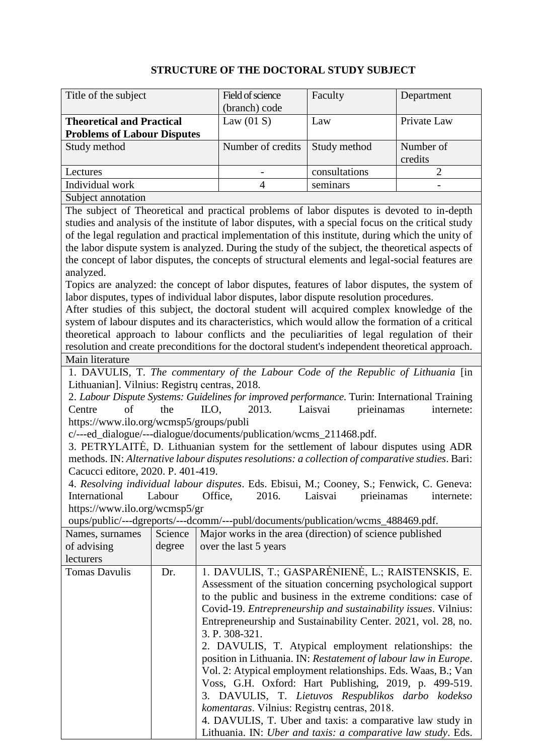## **STRUCTURE OF THE DOCTORAL STUDY SUBJECT**

| Title of the subject               | Field of science  | Faculty       | Department  |
|------------------------------------|-------------------|---------------|-------------|
|                                    | (branch) code     |               |             |
| <b>Theoretical and Practical</b>   | Law $(01 S)$      | Law           | Private Law |
| <b>Problems of Labour Disputes</b> |                   |               |             |
| Study method                       | Number of credits | Study method  | Number of   |
|                                    |                   |               | credits     |
| Lectures                           |                   | consultations |             |
| Individual work                    |                   | seminars      |             |
| Subject annotation                 |                   |               |             |

The subject of Theoretical and practical problems of labor disputes is devoted to in-depth studies and analysis of the institute of labor disputes, with a special focus on the critical study of the legal regulation and practical implementation of this institute, during which the unity of the labor dispute system is analyzed. During the study of the subject, the theoretical aspects of the concept of labor disputes, the concepts of structural elements and legal-social features are analyzed.

Topics are analyzed: the concept of labor disputes, features of labor disputes, the system of labor disputes, types of individual labor disputes, labor dispute resolution procedures.

After studies of this subject, the doctoral student will acquired complex knowledge of the system of labour disputes and its characteristics, which would allow the formation of a critical theoretical approach to labour conflicts and the peculiarities of legal regulation of their resolution and create preconditions for the doctoral student's independent theoretical approach. Main literature

1. DAVULIS, T. *The commentary of the Labour Code of the Republic of Lithuania* [in Lithuanian]. Vilnius: Registrų centras, 2018.

2. *Labour Dispute Systems: Guidelines for improved performance*. Turin: International Training Centre of the ILO, 2013. Laisvai prieinamas internete: https://www.ilo.org/wcmsp5/groups/publi

c/---ed\_dialogue/---dialogue/documents/publication/wcms\_211468.pdf.

3. PETRYLAITĖ, D. Lithuanian system for the settlement of labour disputes using ADR methods. IN: *Alternative labour disputes resolutions: a collection of comparative studies*. Bari: Cacucci editore, 2020. P. 401-419.

4. *Resolving individual labour disputes*. Eds. Ebisui, M.; Cooney, S.; Fenwick, C. Geneva: International Labour Office, 2016. Laisvai prieinamas internete: https://www.ilo.org/wcmsp5/gr

oups/public/---dgreports/---dcomm/---publ/documents/publication/wcms\_488469.pdf.

| Names, surnames      | Science | Major works in the area (direction) of science published               |
|----------------------|---------|------------------------------------------------------------------------|
|                      |         |                                                                        |
| of advising          | degree  | over the last 5 years                                                  |
| lecturers            |         |                                                                        |
| <b>Tomas Davulis</b> | Dr.     | 1. DAVULIS, T.; GASPARĖNIENĖ, L.; RAISTENSKIS, E.                      |
|                      |         | Assessment of the situation concerning psychological support           |
|                      |         | to the public and business in the extreme conditions: case of          |
|                      |         | Covid-19. <i>Entrepreneurship and sustainability issues</i> . Vilnius: |
|                      |         | Entrepreneurship and Sustainability Center. 2021, vol. 28, no.         |
|                      |         | 3. P. 308-321.                                                         |
|                      |         | 2. DAVULIS, T. Atypical employment relationships: the                  |
|                      |         | position in Lithuania. IN: Restatement of labour law in Europe.        |
|                      |         | Vol. 2: Atypical employment relationships. Eds. Waas, B.; Van          |
|                      |         | Voss, G.H. Oxford: Hart Publishing, 2019, p. 499-519.                  |
|                      |         | 3. DAVULIS, T. Lietuvos Respublikos darbo kodekso                      |
|                      |         | komentaras. Vilnius: Registry centras, 2018.                           |
|                      |         | 4. DAVULIS, T. Uber and taxis: a comparative law study in              |
|                      |         | Lithuania. IN: Uber and taxis: a comparative law study. Eds.           |